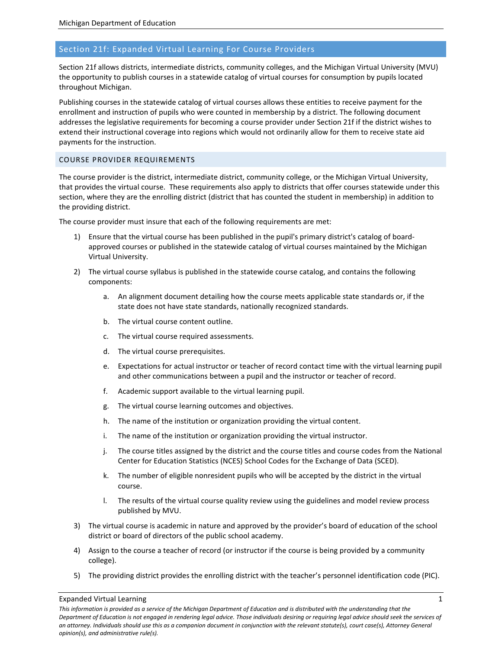# Section 21f: Expanded Virtual Learning For Course Providers

Section 21f allows districts, intermediate districts, community colleges, and the Michigan Virtual University (MVU) the opportunity to publish courses in a statewide catalog of virtual courses for consumption by pupils located throughout Michigan.

Publishing courses in the statewide catalog of virtual courses allows these entities to receive payment for the enrollment and instruction of pupils who were counted in membership by a district. The following document addresses the legislative requirements for becoming a course provider under Section 21f if the district wishes to extend their instructional coverage into regions which would not ordinarily allow for them to receive state aid payments for the instruction.

# COURSE PROVIDER REQUIREMENTS

The course provider is the district, intermediate district, community college, or the Michigan Virtual University, that provides the virtual course. These requirements also apply to districts that offer courses statewide under this section, where they are the enrolling district (district that has counted the student in membership) in addition to the providing district.

The course provider must insure that each of the following requirements are met:

- 1) Ensure that the virtual course has been published in the pupil's primary district's catalog of boardapproved courses or published in the statewide catalog of virtual courses maintained by the Michigan Virtual University.
- 2) The virtual course syllabus is published in the statewide course catalog, and contains the following components:
	- a. An alignment document detailing how the course meets applicable state standards or, if the state does not have state standards, nationally recognized standards.
	- b. The virtual course content outline.
	- c. The virtual course required assessments.
	- d. The virtual course prerequisites.
	- e. Expectations for actual instructor or teacher of record contact time with the virtual learning pupil and other communications between a pupil and the instructor or teacher of record.
	- f. Academic support available to the virtual learning pupil.
	- g. The virtual course learning outcomes and objectives.
	- h. The name of the institution or organization providing the virtual content.
	- i. The name of the institution or organization providing the virtual instructor.
	- j. The course titles assigned by the district and the course titles and course codes from the National Center for Education Statistics (NCES) School Codes for the Exchange of Data (SCED).
	- k. The number of eligible nonresident pupils who will be accepted by the district in the virtual course.
	- l. The results of the virtual course quality review using the guidelines and model review process published by MVU.
- 3) The virtual course is academic in nature and approved by the provider's board of education of the school district or board of directors of the public school academy.
- 4) Assign to the course a teacher of record (or instructor if the course is being provided by a community college).
- 5) The providing district provides the enrolling district with the teacher's personnel identification code (PIC).

#### Expanded Virtual Learning 1

*This information is provided as a service of the Michigan Department of Education and is distributed with the understanding that the Department of Education is not engaged in rendering legal advice. Those individuals desiring or requiring legal advice should seek the services of an attorney. Individuals should use this as a companion document in conjunction with the relevant statute(s), court case(s), Attorney General opinion(s), and administrative rule(s).*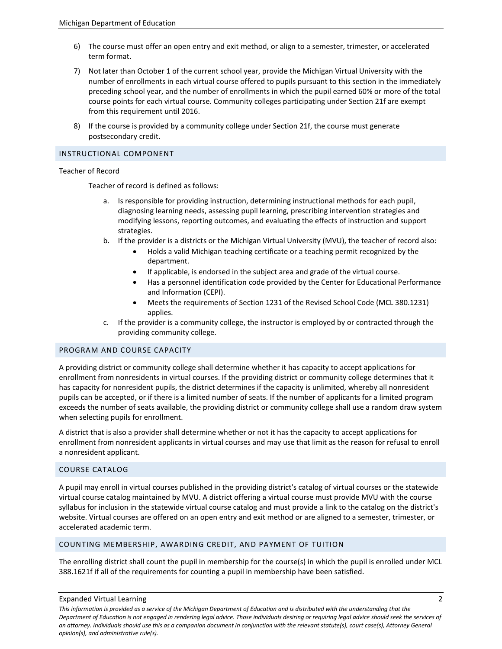- 6) The course must offer an open entry and exit method, or align to a semester, trimester, or accelerated term format.
- 7) Not later than October 1 of the current school year, provide the Michigan Virtual University with the number of enrollments in each virtual course offered to pupils pursuant to this section in the immediately preceding school year, and the number of enrollments in which the pupil earned 60% or more of the total course points for each virtual course. Community colleges participating under Section 21f are exempt from this requirement until 2016.
- 8) If the course is provided by a community college under Section 21f, the course must generate postsecondary credit.

## INSTRUCTIONAL COMPONENT

# Teacher of Record

Teacher of record is defined as follows:

- a. Is responsible for providing instruction, determining instructional methods for each pupil, diagnosing learning needs, assessing pupil learning, prescribing intervention strategies and modifying lessons, reporting outcomes, and evaluating the effects of instruction and support strategies.
- b. If the provider is a districts or the Michigan Virtual University (MVU), the teacher of record also:
	- Holds a valid Michigan teaching certificate or a teaching permit recognized by the department.
	- If applicable, is endorsed in the subject area and grade of the virtual course.
	- Has a personnel identification code provided by the Center for Educational Performance and Information (CEPI).
	- Meets the requirements of Section 1231 of the Revised School Code (MCL 380.1231) applies.
- c. If the provider is a community college, the instructor is employed by or contracted through the providing community college.

### PROGRAM AND COURSE CAPACITY

A providing district or community college shall determine whether it has capacity to accept applications for enrollment from nonresidents in virtual courses. If the providing district or community college determines that it has capacity for nonresident pupils, the district determines if the capacity is unlimited, whereby all nonresident pupils can be accepted, or if there is a limited number of seats. If the number of applicants for a limited program exceeds the number of seats available, the providing district or community college shall use a random draw system when selecting pupils for enrollment.

A district that is also a provider shall determine whether or not it has the capacity to accept applications for enrollment from nonresident applicants in virtual courses and may use that limit as the reason for refusal to enroll a nonresident applicant.

# COURSE CATALOG

A pupil may enroll in virtual courses published in the providing district's catalog of virtual courses or the statewide virtual course catalog maintained by MVU. A district offering a virtual course must provide MVU with the course syllabus for inclusion in the statewide virtual course catalog and must provide a link to the catalog on the district's website. Virtual courses are offered on an open entry and exit method or are aligned to a semester, trimester, or accelerated academic term.

# COUNTING MEMBERSHIP, AWARDING CREDIT, AND PAYMENT OF TUITION

The enrolling district shall count the pupil in membership for the course(s) in which the pupil is enrolled under MCL 388.1621f if all of the requirements for counting a pupil in membership have been satisfied.

### Expanded Virtual Learning 2

*This information is provided as a service of the Michigan Department of Education and is distributed with the understanding that the Department of Education is not engaged in rendering legal advice. Those individuals desiring or requiring legal advice should seek the services of an attorney. Individuals should use this as a companion document in conjunction with the relevant statute(s), court case(s), Attorney General opinion(s), and administrative rule(s).*